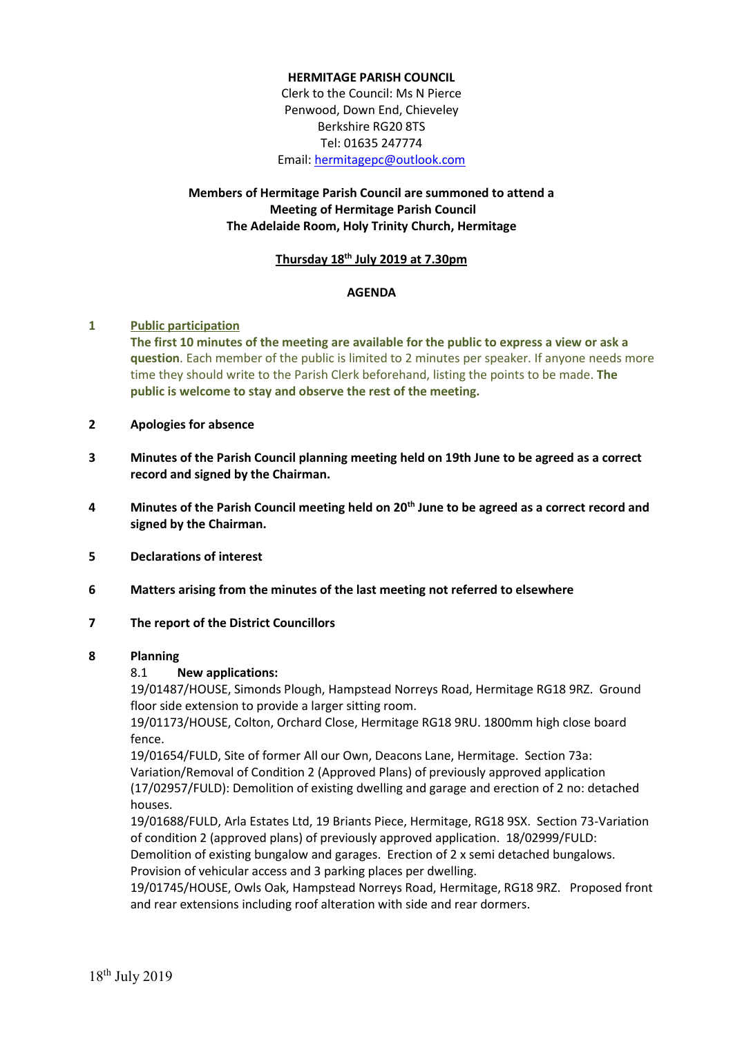### **HERMITAGE PARISH COUNCIL**

Clerk to the Council: Ms N Pierce Penwood, Down End, Chieveley Berkshire RG20 8TS Tel: 01635 247774 Email[: hermitagepc@outlook.com](mailto:hermitagepc@outlook.com)

# **Members of Hermitage Parish Council are summoned to attend a Meeting of Hermitage Parish Council The Adelaide Room, Holy Trinity Church, Hermitage**

#### **Thursday 18th July 2019 at 7.30pm**

#### **AGENDA**

### **1 Public participation**

**The first 10 minutes of the meeting are available for the public to express a view or ask a question**. Each member of the public is limited to 2 minutes per speaker. If anyone needs more time they should write to the Parish Clerk beforehand, listing the points to be made. **The public is welcome to stay and observe the rest of the meeting.**

#### **2 Apologies for absence**

- **3 Minutes of the Parish Council planning meeting held on 19th June to be agreed as a correct record and signed by the Chairman.**
- **4 Minutes of the Parish Council meeting held on 20th June to be agreed as a correct record and signed by the Chairman.**
- **5 Declarations of interest**
- **6 Matters arising from the minutes of the last meeting not referred to elsewhere**

### **7 The report of the District Councillors**

### **8 Planning**

### 8.1 **New applications:**

19/01487/HOUSE, Simonds Plough, Hampstead Norreys Road, Hermitage RG18 9RZ. Ground floor side extension to provide a larger sitting room.

19/01173/HOUSE, Colton, Orchard Close, Hermitage RG18 9RU. 1800mm high close board fence.

19/01654/FULD, Site of former All our Own, Deacons Lane, Hermitage. Section 73a: Variation/Removal of Condition 2 (Approved Plans) of previously approved application (17/02957/FULD): Demolition of existing dwelling and garage and erection of 2 no: detached houses.

19/01688/FULD, Arla Estates Ltd, 19 Briants Piece, Hermitage, RG18 9SX. Section 73-Variation of condition 2 (approved plans) of previously approved application. 18/02999/FULD: Demolition of existing bungalow and garages. Erection of 2 x semi detached bungalows.

Provision of vehicular access and 3 parking places per dwelling.

19/01745/HOUSE, Owls Oak, Hampstead Norreys Road, Hermitage, RG18 9RZ. Proposed front and rear extensions including roof alteration with side and rear dormers.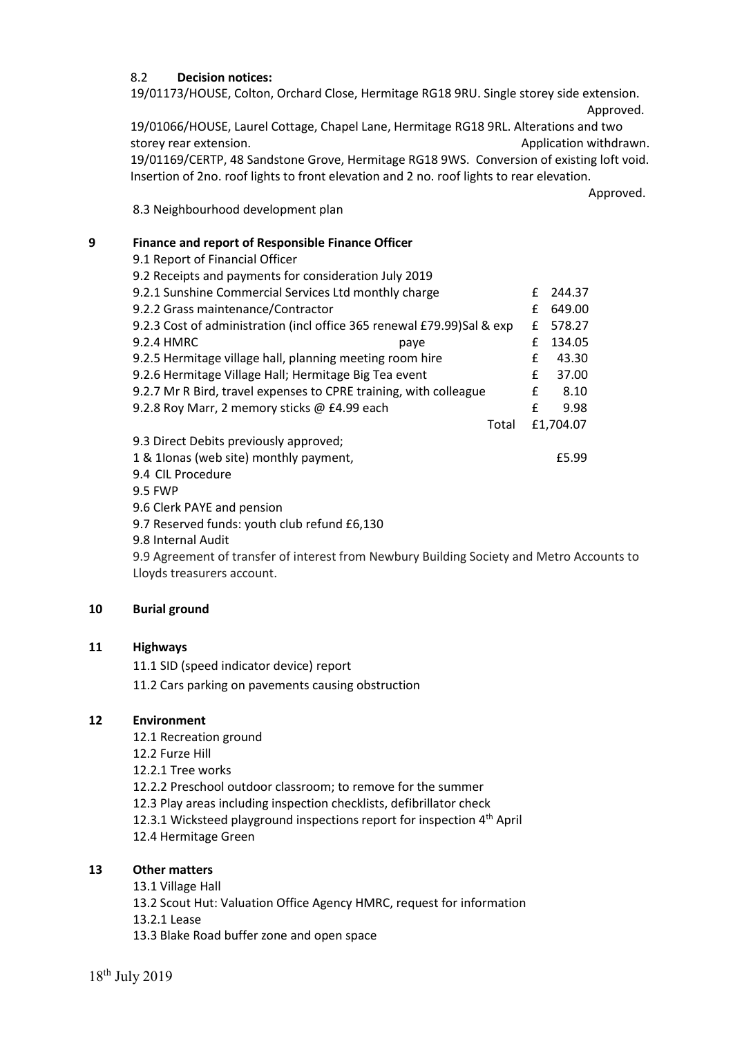### 8.2 **Decision notices:**

19/01173/HOUSE, Colton, Orchard Close, Hermitage RG18 9RU. Single storey side extension.

Approved.

19/01066/HOUSE, Laurel Cottage, Chapel Lane, Hermitage RG18 9RL. Alterations and two storey rear extension. Application withdrawn. 19/01169/CERTP, 48 Sandstone Grove, Hermitage RG18 9WS. Conversion of existing loft void.

Insertion of 2no. roof lights to front elevation and 2 no. roof lights to rear elevation. Approved.

8.3 Neighbourhood development plan

# **9 Finance and report of Responsible Finance Officer**

9.1 Report of Financial Officer 9.2 Receipts and payments for consideration July 2019 9.2.1 Sunshine Commercial Services Ltd monthly charge  $\qquad \qquad$  £ 244.37 9.2.2 Grass maintenance/Contractor £ 649.00 9.2.3 Cost of administration (incl office 365 renewal £79.99)Sal & exp £ 578.27 9.2.4 HMRC paye £ 134.05 9.2.5 Hermitage village hall, planning meeting room hire **E** 43.30 9.2.6 Hermitage Village Hall; Hermitage Big Tea event E 37.00 9.2.7 Mr R Bird, travel expenses to CPRE training, with colleague  $\qquad \qquad \text{£} \qquad 8.10$ 9.2.8 Roy Marr, 2 memory sticks @ £4.99 each  $\epsilon$  9.98 Total £1,704.07 9.3 Direct Debits previously approved; 1 & 1Ionas (web site) monthly payment, £5.99 9.4 CIL Procedure 9.5 FWP 9.6 Clerk PAYE and pension 9.7 Reserved funds: youth club refund £6,130

9.8 Internal Audit

9.9 Agreement of transfer of interest from Newbury Building Society and Metro Accounts to Lloyds treasurers account.

## **10 Burial ground**

## **11 Highways**

11.1 SID (speed indicator device) report

11.2 Cars parking on pavements causing obstruction

## **12 Environment**

- 12.1 Recreation ground
- 12.2 Furze Hill
- 12.2.1 Tree works

12.2.2 Preschool outdoor classroom; to remove for the summer

12.3 Play areas including inspection checklists, defibrillator check

- 12.3.1 Wicksteed playground inspections report for inspection 4<sup>th</sup> April
- 12.4 Hermitage Green

# **13 Other matters**

- 13.1 Village Hall
- 13.2 Scout Hut: Valuation Office Agency HMRC, request for information
- 13.2.1 Lease
- 13.3 Blake Road buffer zone and open space